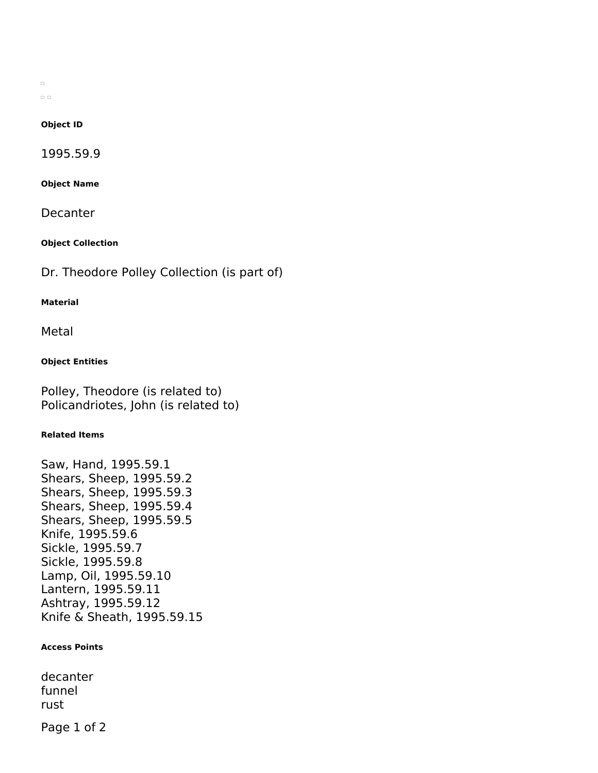$\Box$  $\square~\square$ 

## **Object ID**

1995.59.9

**Object Name**

Decanter

**Object Collection**

Dr. Theodore Polley Collection (is part of)

#### **Material**

Metal

## **Object Entities**

Polley, Theodore (is related to) Policandriotes, John (is related to)

## **Related Items**

Saw, Hand, 1995.59.1 Shears, Sheep, 1995.59.2 Shears, Sheep, 1995.59.3 Shears, Sheep, 1995.59.4 Shears, Sheep, 1995.59.5 Knife, 1995.59.6 Sickle, 1995.59.7 Sickle, 1995.59.8 Lamp, Oil, 1995.59.10 Lantern, 1995.59.11 Ashtray, 1995.59.12 Knife & Sheath, 1995.59.15

### **Access Points**

decanter funnel rust

Page 1 of 2